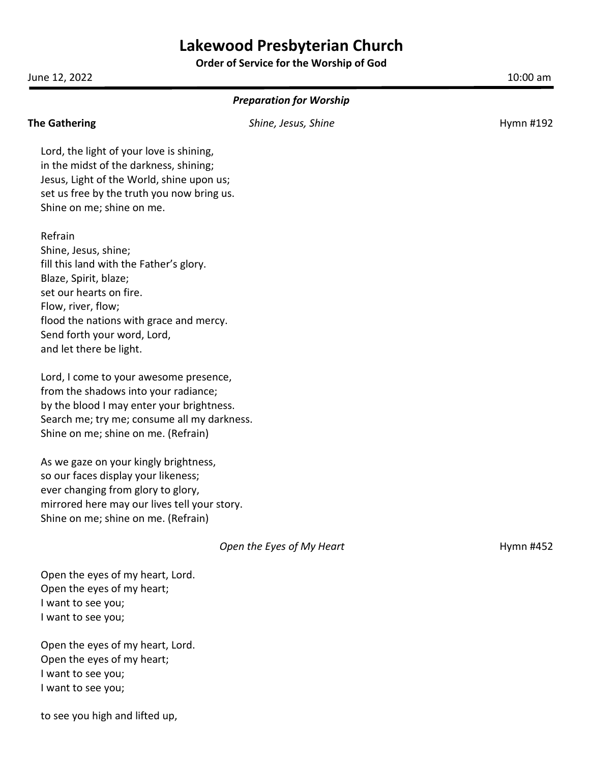**Order of Service for the Worship of God**

June 12, 2022 10:00 am

| <b>Preparation for Worship</b>               |                           |           |  |  |
|----------------------------------------------|---------------------------|-----------|--|--|
| <b>The Gathering</b>                         | Shine, Jesus, Shine       | Hymn #192 |  |  |
| Lord, the light of your love is shining,     |                           |           |  |  |
| in the midst of the darkness, shining;       |                           |           |  |  |
| Jesus, Light of the World, shine upon us;    |                           |           |  |  |
| set us free by the truth you now bring us.   |                           |           |  |  |
| Shine on me; shine on me.                    |                           |           |  |  |
| Refrain                                      |                           |           |  |  |
| Shine, Jesus, shine;                         |                           |           |  |  |
| fill this land with the Father's glory.      |                           |           |  |  |
| Blaze, Spirit, blaze;                        |                           |           |  |  |
| set our hearts on fire.                      |                           |           |  |  |
| Flow, river, flow;                           |                           |           |  |  |
| flood the nations with grace and mercy.      |                           |           |  |  |
| Send forth your word, Lord,                  |                           |           |  |  |
| and let there be light.                      |                           |           |  |  |
| Lord, I come to your awesome presence,       |                           |           |  |  |
| from the shadows into your radiance;         |                           |           |  |  |
| by the blood I may enter your brightness.    |                           |           |  |  |
| Search me; try me; consume all my darkness.  |                           |           |  |  |
| Shine on me; shine on me. (Refrain)          |                           |           |  |  |
| As we gaze on your kingly brightness,        |                           |           |  |  |
| so our faces display your likeness;          |                           |           |  |  |
| ever changing from glory to glory,           |                           |           |  |  |
| mirrored here may our lives tell your story. |                           |           |  |  |
| Shine on me; shine on me. (Refrain)          |                           |           |  |  |
|                                              | Open the Eyes of My Heart | Hymn #452 |  |  |
| Open the eyes of my heart, Lord.             |                           |           |  |  |
| Open the eyes of my heart;                   |                           |           |  |  |
| I want to see you;                           |                           |           |  |  |

I want to see you;

Open the eyes of my heart, Lord. Open the eyes of my heart; I want to see you; I want to see you;

to see you high and lifted up,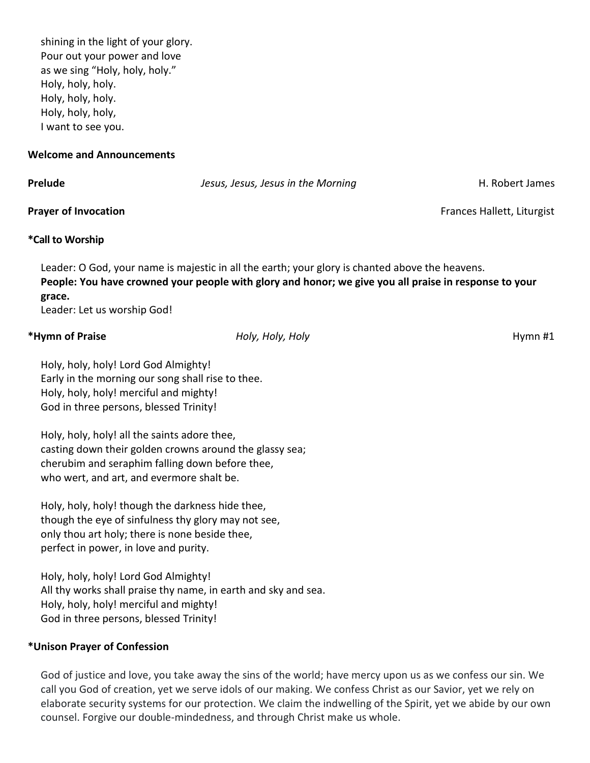shining in the light of your glory. Pour out your power and love as we sing "Holy, holy, holy." Holy, holy, holy. Holy, holy, holy. Holy, holy, holy, I want to see you.

#### **Welcome and Announcements**

| Prelude                     | Jesus, Jesus, Jesus in the Morning | H. Robert James            |
|-----------------------------|------------------------------------|----------------------------|
| <b>Prayer of Invocation</b> |                                    | Frances Hallett, Liturgist |

# **\*Call to Worship**

Leader: O God, your name is majestic in all the earth; your glory is chanted above the heavens. **People: You have crowned your people with glory and honor; we give you all praise in response to your grace.**

Leader: Let us worship God!

# **\*Hymn of Praise** *Holy, Holy, Holy* Hymn #1

Holy, holy, holy! Lord God Almighty! Early in the morning our song shall rise to thee. Holy, holy, holy! merciful and mighty! God in three persons, blessed Trinity!

Holy, holy, holy! all the saints adore thee, casting down their golden crowns around the glassy sea; cherubim and seraphim falling down before thee, who wert, and art, and evermore shalt be.

Holy, holy, holy! though the darkness hide thee, though the eye of sinfulness thy glory may not see, only thou art holy; there is none beside thee, perfect in power, in love and purity.

Holy, holy, holy! Lord God Almighty! All thy works shall praise thy name, in earth and sky and sea. Holy, holy, holy! merciful and mighty! God in three persons, blessed Trinity!

# **\*Unison Prayer of Confession**

God of justice and love, you take away the sins of the world; have mercy upon us as we confess our sin. We call you God of creation, yet we serve idols of our making. We confess Christ as our Savior, yet we rely on elaborate security systems for our protection. We claim the indwelling of the Spirit, yet we abide by our own counsel. Forgive our double-mindedness, and through Christ make us whole.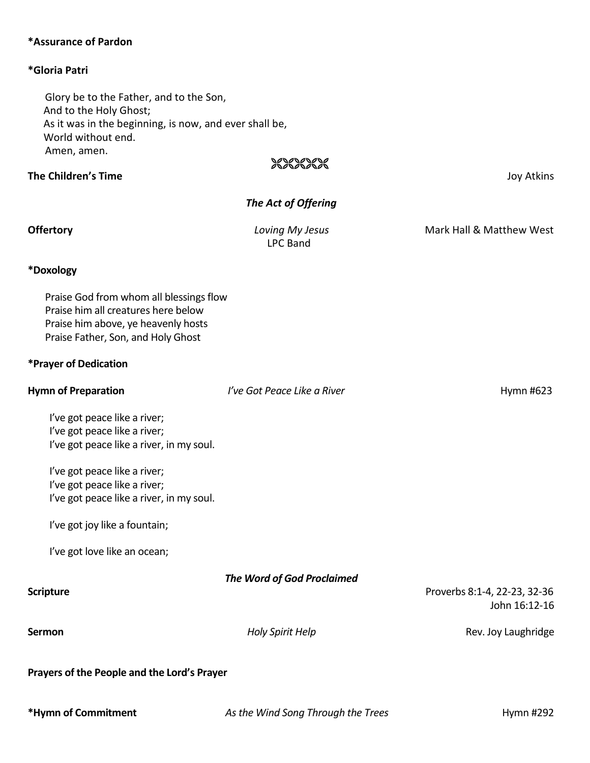# **\*Assurance of Pardon**

## **\*Gloria Patri**

Glory be to the Father, and to the Son, And to the Holy Ghost; As it was in the beginning, is now, and ever shall be, World without end. Amen, amen.

# 2020202020

**The Children's Time** Joy Atkins

# *The Act of Offering*

LPC Band

**Offertory** *Loving My Jesus* Mark Hall & Matthew West

#### **\*Doxology**

Praise God from whom all blessings flow Praise him all creatures here below Praise him above, ye heavenly hosts Praise Father, Son, and Holy Ghost

### **\*Prayer of Dedication**

| <b>Hymn of Preparation</b>                                   | I've Got Peace Like a River       | Hymn #623                    |
|--------------------------------------------------------------|-----------------------------------|------------------------------|
| l've got peace like a river;<br>l've got peace like a river; |                                   |                              |
| I've got peace like a river, in my soul.                     |                                   |                              |
| l've got peace like a river;                                 |                                   |                              |
| l've got peace like a river;                                 |                                   |                              |
| I've got peace like a river, in my soul.                     |                                   |                              |
| I've got joy like a fountain;                                |                                   |                              |
| I've got love like an ocean;                                 |                                   |                              |
|                                                              | <b>The Word of God Proclaimed</b> |                              |
| <b>Scripture</b>                                             |                                   | Proverbs 8:1-4, 22-23, 32-36 |
|                                                              |                                   | John 16:12-16                |
| <b>Sermon</b>                                                | <b>Holy Spirit Help</b>           | Rev. Joy Laughridge          |
| Prayers of the People and the Lord's Prayer                  |                                   |                              |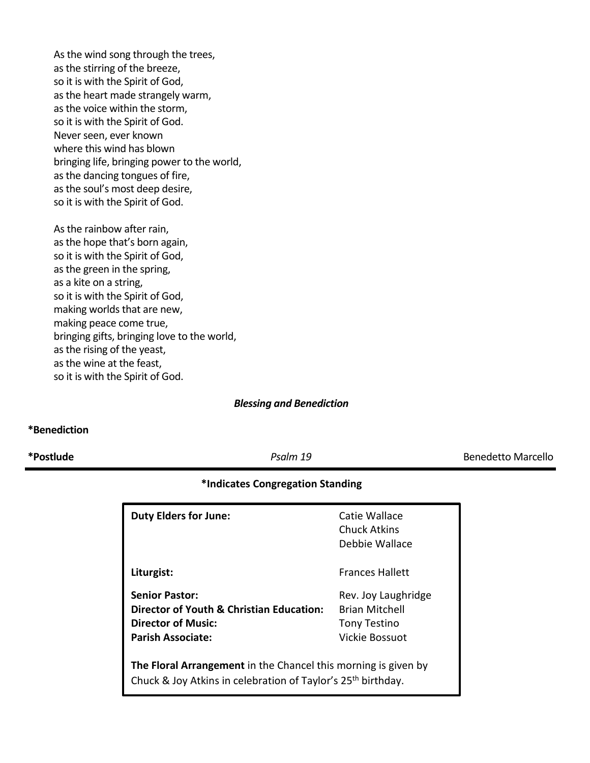As the wind song through the trees, as the stirring of the breeze, so it is with the Spirit of God, as the heart made strangely warm, as the voice within the storm, so it is with the Spirit of God. Never seen, ever known where this wind has blown bringing life, bringing power to the world, as the dancing tongues of fire, as the soul's most deep desire, so it is with the Spirit of God.

As the rainbow after rain, as the hope that's born again, so it is with the Spirit of God, as the green in the spring, as a kite on a string, so it is with the Spirit of God, making worlds that are new, making peace come true, bringing gifts, bringing love to the world, as the rising of the yeast, as the wine at the feast, so it is with the Spirit of God.

*Blessing and Benediction*

## **\*Benediction**

**\*Postlude** *Psalm 19* Benedetto Marcello

# **\*Indicates Congregation Standing**

| <b>Duty Elders for June:</b>                                                                                                               | Catie Wallace<br>Chuck Atkins<br>Debbie Wallace                                       |  |  |
|--------------------------------------------------------------------------------------------------------------------------------------------|---------------------------------------------------------------------------------------|--|--|
| Liturgist:                                                                                                                                 | <b>Frances Hallett</b>                                                                |  |  |
| <b>Senior Pastor:</b><br>Director of Youth & Christian Education:<br><b>Director of Music:</b><br><b>Parish Associate:</b>                 | Rev. Joy Laughridge<br><b>Brian Mitchell</b><br><b>Tony Testino</b><br>Vickie Bossuot |  |  |
| The Floral Arrangement in the Chancel this morning is given by<br>Chuck & Joy Atkins in celebration of Taylor's 25 <sup>th</sup> birthday. |                                                                                       |  |  |